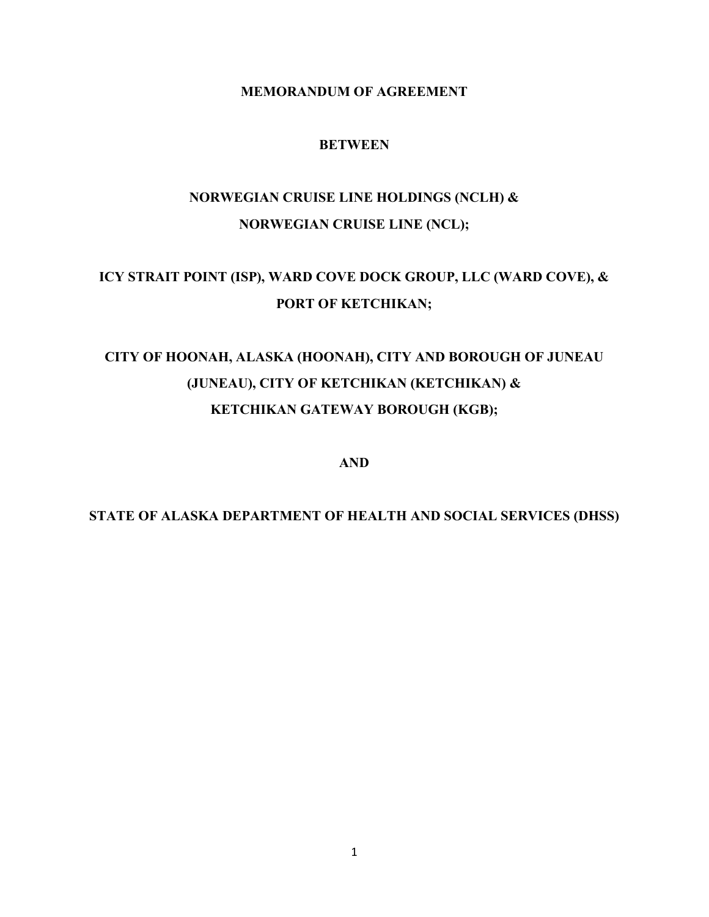### **MEMORANDUM OF AGREEMENT**

### **BETWEEN**

# **NORWEGIAN CRUISE LINE HOLDINGS (NCLH) & NORWEGIAN CRUISE LINE (NCL);**

# **ICY STRAIT POINT (ISP), WARD COVE DOCK GROUP, LLC (WARD COVE), & PORT OF KETCHIKAN;**

# **CITY OF HOONAH, ALASKA (HOONAH), CITY AND BOROUGH OF JUNEAU (JUNEAU), CITY OF KETCHIKAN (KETCHIKAN) & KETCHIKAN GATEWAY BOROUGH (KGB);**

**AND**

# **STATE OF ALASKA DEPARTMENT OF HEALTH AND SOCIAL SERVICES (DHSS)**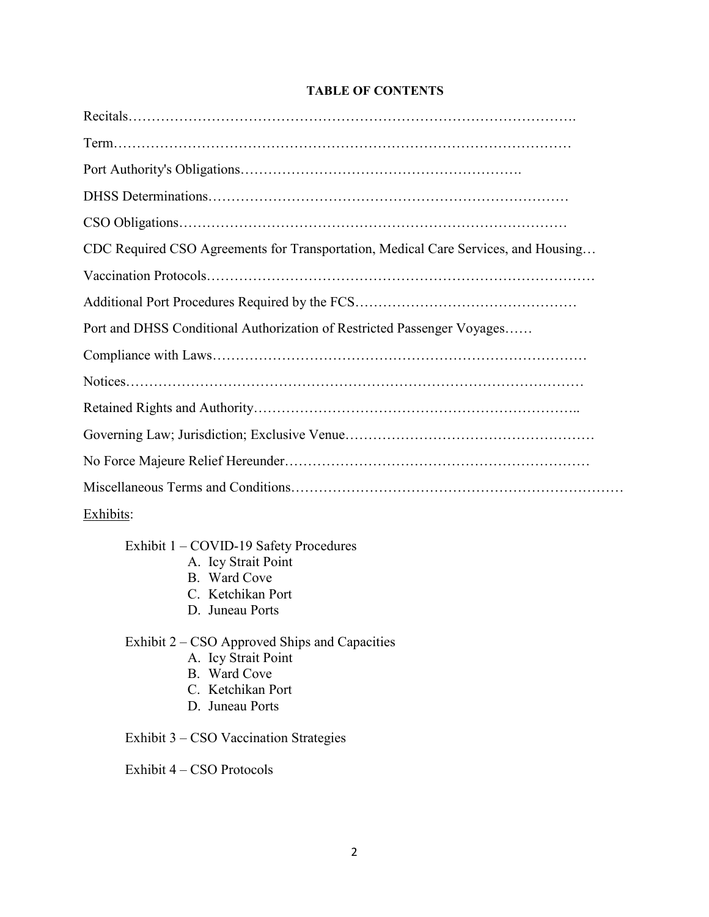#### **TABLE OF CONTENTS**

| CDC Required CSO Agreements for Transportation, Medical Care Services, and Housing |
|------------------------------------------------------------------------------------|
|                                                                                    |
|                                                                                    |
| Port and DHSS Conditional Authorization of Restricted Passenger Voyages            |
|                                                                                    |
|                                                                                    |
|                                                                                    |
|                                                                                    |
|                                                                                    |
|                                                                                    |
| Exhibits:                                                                          |

Exhibit 1 – COVID-19 Safety Procedures

- A. Icy Strait Point
- B. Ward Cove
- C. Ketchikan Port
- D. Juneau Ports

Exhibit 2 – CSO Approved Ships and Capacities

- A. Icy Strait Point
- B. Ward Cove
- C. Ketchikan Port
- D. Juneau Ports

Exhibit 3 – CSO Vaccination Strategies

Exhibit 4 – CSO Protocols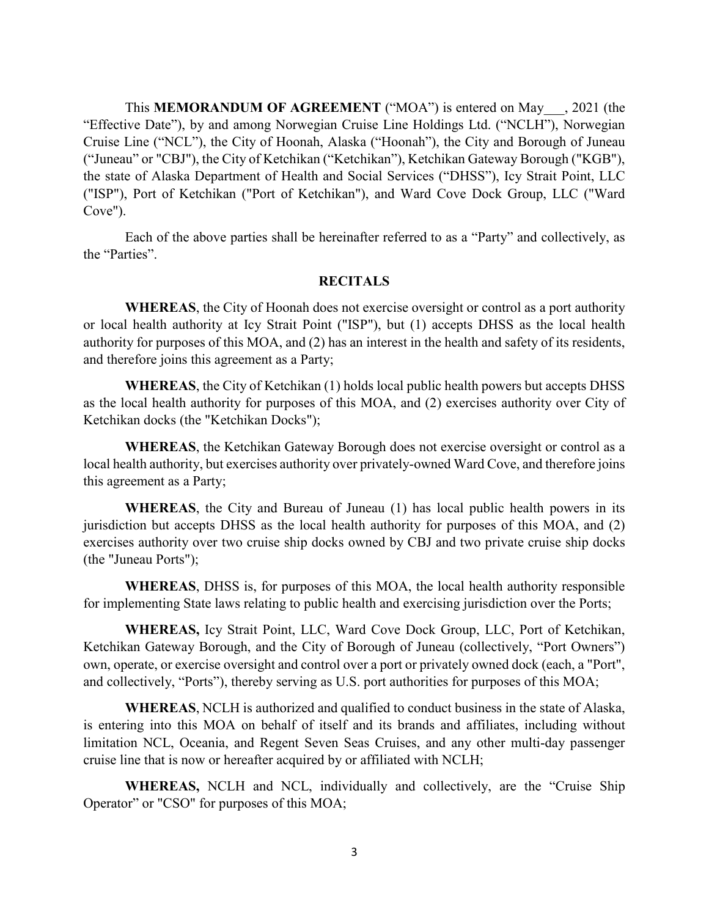This **MEMORANDUM OF AGREEMENT** ("MOA") is entered on May\_\_\_, 2021 (the "Effective Date"), by and among Norwegian Cruise Line Holdings Ltd. ("NCLH"), Norwegian Cruise Line ("NCL"), the City of Hoonah, Alaska ("Hoonah"), the City and Borough of Juneau ("Juneau" or "CBJ"), the City of Ketchikan ("Ketchikan"), Ketchikan Gateway Borough ("KGB"), the state of Alaska Department of Health and Social Services ("DHSS"), Icy Strait Point, LLC ("ISP"), Port of Ketchikan ("Port of Ketchikan"), and Ward Cove Dock Group, LLC ("Ward Cove").

Each of the above parties shall be hereinafter referred to as a "Party" and collectively, as the "Parties".

#### **RECITALS**

**WHEREAS**, the City of Hoonah does not exercise oversight or control as a port authority or local health authority at Icy Strait Point ("ISP"), but (1) accepts DHSS as the local health authority for purposes of this MOA, and (2) has an interest in the health and safety of its residents, and therefore joins this agreement as a Party;

**WHEREAS**, the City of Ketchikan (1) holds local public health powers but accepts DHSS as the local health authority for purposes of this MOA, and (2) exercises authority over City of Ketchikan docks (the "Ketchikan Docks");

**WHEREAS**, the Ketchikan Gateway Borough does not exercise oversight or control as a local health authority, but exercises authority over privately-owned Ward Cove, and therefore joins this agreement as a Party;

**WHEREAS**, the City and Bureau of Juneau (1) has local public health powers in its jurisdiction but accepts DHSS as the local health authority for purposes of this MOA, and (2) exercises authority over two cruise ship docks owned by CBJ and two private cruise ship docks (the "Juneau Ports");

**WHEREAS**, DHSS is, for purposes of this MOA, the local health authority responsible for implementing State laws relating to public health and exercising jurisdiction over the Ports;

**WHEREAS,** Icy Strait Point, LLC, Ward Cove Dock Group, LLC, Port of Ketchikan, Ketchikan Gateway Borough, and the City of Borough of Juneau (collectively, "Port Owners") own, operate, or exercise oversight and control over a port or privately owned dock (each, a "Port", and collectively, "Ports"), thereby serving as U.S. port authorities for purposes of this MOA;

**WHEREAS**, NCLH is authorized and qualified to conduct business in the state of Alaska, is entering into this MOA on behalf of itself and its brands and affiliates, including without limitation NCL, Oceania, and Regent Seven Seas Cruises, and any other multi-day passenger cruise line that is now or hereafter acquired by or affiliated with NCLH;

**WHEREAS,** NCLH and NCL, individually and collectively, are the "Cruise Ship Operator" or "CSO" for purposes of this MOA;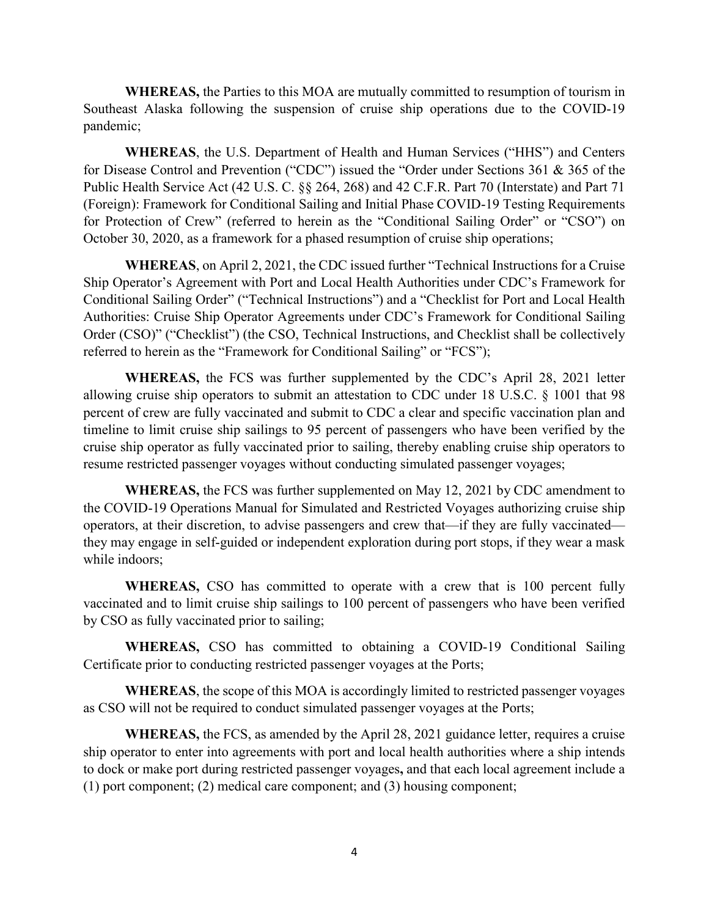**WHEREAS,** the Parties to this MOA are mutually committed to resumption of tourism in Southeast Alaska following the suspension of cruise ship operations due to the COVID-19 pandemic;

**WHEREAS**, the U.S. Department of Health and Human Services ("HHS") and Centers for Disease Control and Prevention ("CDC") issued the "Order under Sections 361 & 365 of the Public Health Service Act (42 U.S. C. §§ 264, 268) and 42 C.F.R. Part 70 (Interstate) and Part 71 (Foreign): Framework for Conditional Sailing and Initial Phase COVID-19 Testing Requirements for Protection of Crew" (referred to herein as the "Conditional Sailing Order" or "CSO") on October 30, 2020, as a framework for a phased resumption of cruise ship operations;

**WHEREAS**, on April 2, 2021, the CDC issued further "Technical Instructions for a Cruise Ship Operator's Agreement with Port and Local Health Authorities under CDC's Framework for Conditional Sailing Order" ("Technical Instructions") and a "Checklist for Port and Local Health Authorities: Cruise Ship Operator Agreements under CDC's Framework for Conditional Sailing Order (CSO)" ("Checklist") (the CSO, Technical Instructions, and Checklist shall be collectively referred to herein as the "Framework for Conditional Sailing" or "FCS");

**WHEREAS,** the FCS was further supplemented by the CDC's April 28, 2021 letter allowing cruise ship operators to submit an attestation to CDC under 18 U.S.C. § 1001 that 98 percent of crew are fully vaccinated and submit to CDC a clear and specific vaccination plan and timeline to limit cruise ship sailings to 95 percent of passengers who have been verified by the cruise ship operator as fully vaccinated prior to sailing, thereby enabling cruise ship operators to resume restricted passenger voyages without conducting simulated passenger voyages;

**WHEREAS,** the FCS was further supplemented on May 12, 2021 by CDC amendment to the COVID-19 Operations Manual for Simulated and Restricted Voyages authorizing cruise ship operators, at their discretion, to advise passengers and crew that—if they are fully vaccinated they may engage in self-guided or independent exploration during port stops, if they wear a mask while indoors;

**WHEREAS,** CSO has committed to operate with a crew that is 100 percent fully vaccinated and to limit cruise ship sailings to 100 percent of passengers who have been verified by CSO as fully vaccinated prior to sailing;

**WHEREAS,** CSO has committed to obtaining a COVID-19 Conditional Sailing Certificate prior to conducting restricted passenger voyages at the Ports;

**WHEREAS**, the scope of this MOA is accordingly limited to restricted passenger voyages as CSO will not be required to conduct simulated passenger voyages at the Ports;

**WHEREAS,** the FCS, as amended by the April 28, 2021 guidance letter, requires a cruise ship operator to enter into agreements with port and local health authorities where a ship intends to dock or make port during restricted passenger voyages**,** and that each local agreement include a (1) port component; (2) medical care component; and (3) housing component;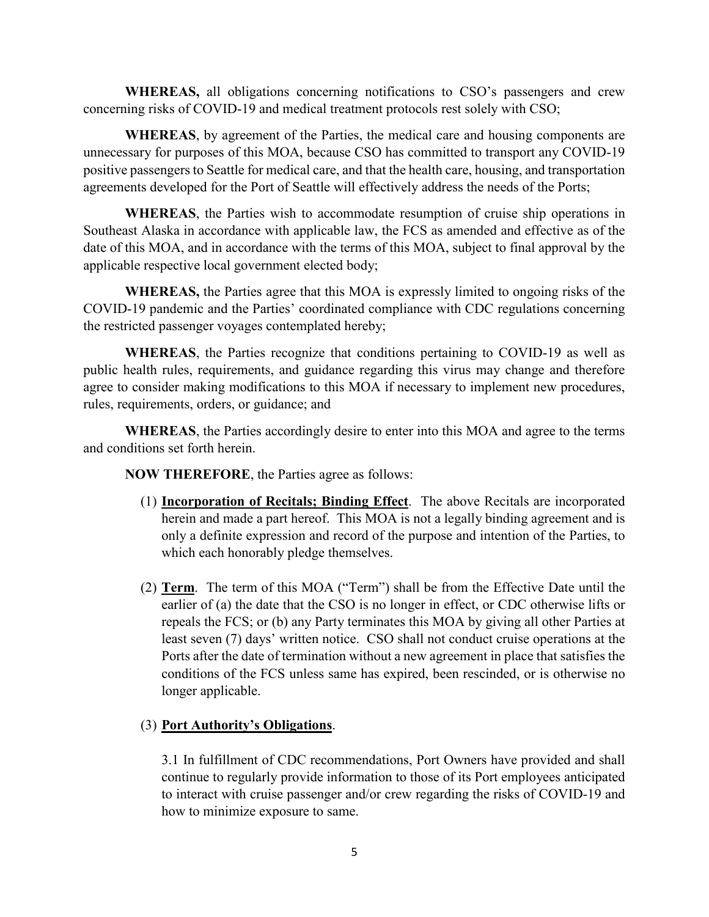**WHEREAS,** all obligations concerning notifications to CSO's passengers and crew concerning risks of COVID-19 and medical treatment protocols rest solely with CSO;

**WHEREAS**, by agreement of the Parties, the medical care and housing components are unnecessary for purposes of this MOA, because CSO has committed to transport any COVID-19 positive passengers to Seattle for medical care, and that the health care, housing, and transportation agreements developed for the Port of Seattle will effectively address the needs of the Ports;

**WHEREAS**, the Parties wish to accommodate resumption of cruise ship operations in Southeast Alaska in accordance with applicable law, the FCS as amended and effective as of the date of this MOA, and in accordance with the terms of this MOA, subject to final approval by the applicable respective local government elected body;

**WHEREAS,** the Parties agree that this MOA is expressly limited to ongoing risks of the COVID-19 pandemic and the Parties' coordinated compliance with CDC regulations concerning the restricted passenger voyages contemplated hereby;

**WHEREAS**, the Parties recognize that conditions pertaining to COVID-19 as well as public health rules, requirements, and guidance regarding this virus may change and therefore agree to consider making modifications to this MOA if necessary to implement new procedures, rules, requirements, orders, or guidance; and

**WHEREAS**, the Parties accordingly desire to enter into this MOA and agree to the terms and conditions set forth herein.

**NOW THEREFORE**, the Parties agree as follows:

- (1) **Incorporation of Recitals; Binding Effect**. The above Recitals are incorporated herein and made a part hereof. This MOA is not a legally binding agreement and is only a definite expression and record of the purpose and intention of the Parties, to which each honorably pledge themselves.
- (2) **Term**. The term of this MOA ("Term") shall be from the Effective Date until the earlier of (a) the date that the CSO is no longer in effect, or CDC otherwise lifts or repeals the FCS; or (b) any Party terminates this MOA by giving all other Parties at least seven (7) days' written notice. CSO shall not conduct cruise operations at the Ports after the date of termination without a new agreement in place that satisfies the conditions of the FCS unless same has expired, been rescinded, or is otherwise no longer applicable.

# (3) **Port Authority's Obligations**.

3.1 In fulfillment of CDC recommendations, Port Owners have provided and shall continue to regularly provide information to those of its Port employees anticipated to interact with cruise passenger and/or crew regarding the risks of COVID-19 and how to minimize exposure to same.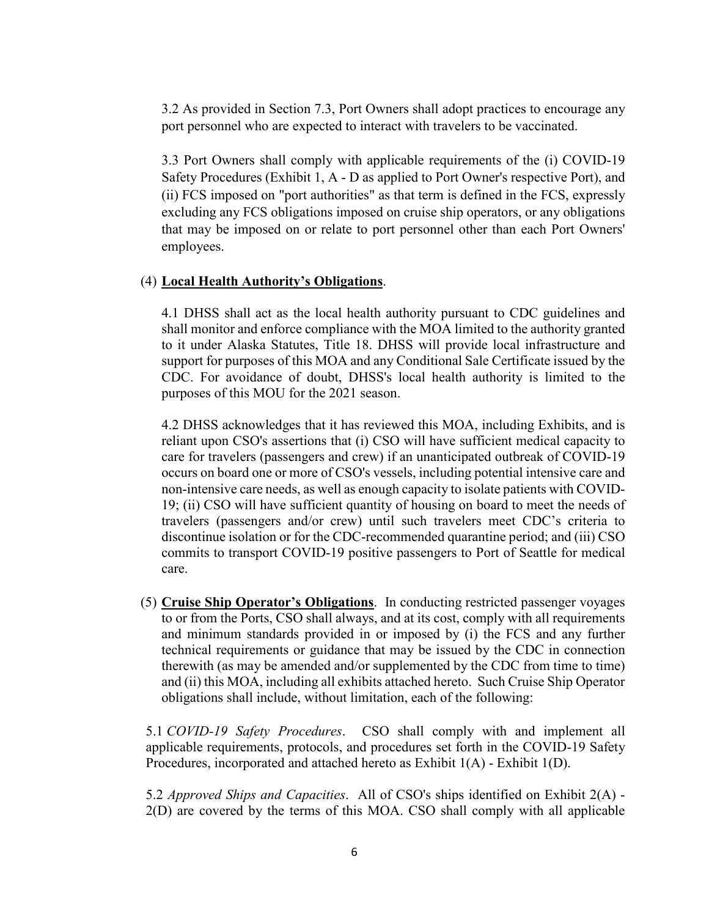3.2 As provided in Section 7.3, Port Owners shall adopt practices to encourage any port personnel who are expected to interact with travelers to be vaccinated.

3.3 Port Owners shall comply with applicable requirements of the (i) COVID-19 Safety Procedures (Exhibit 1, A - D as applied to Port Owner's respective Port), and (ii) FCS imposed on "port authorities" as that term is defined in the FCS, expressly excluding any FCS obligations imposed on cruise ship operators, or any obligations that may be imposed on or relate to port personnel other than each Port Owners' employees.

#### (4) **Local Health Authority's Obligations**.

4.1 DHSS shall act as the local health authority pursuant to CDC guidelines and shall monitor and enforce compliance with the MOA limited to the authority granted to it under Alaska Statutes, Title 18. DHSS will provide local infrastructure and support for purposes of this MOA and any Conditional Sale Certificate issued by the CDC. For avoidance of doubt, DHSS's local health authority is limited to the purposes of this MOU for the 2021 season.

4.2 DHSS acknowledges that it has reviewed this MOA, including Exhibits, and is reliant upon CSO's assertions that (i) CSO will have sufficient medical capacity to care for travelers (passengers and crew) if an unanticipated outbreak of COVID-19 occurs on board one or more of CSO's vessels, including potential intensive care and non-intensive care needs, as well as enough capacity to isolate patients with COVID-19; (ii) CSO will have sufficient quantity of housing on board to meet the needs of travelers (passengers and/or crew) until such travelers meet CDC's criteria to discontinue isolation or for the CDC-recommended quarantine period; and (iii) CSO commits to transport COVID-19 positive passengers to Port of Seattle for medical care.

(5) **Cruise Ship Operator's Obligations**. In conducting restricted passenger voyages to or from the Ports, CSO shall always, and at its cost, comply with all requirements and minimum standards provided in or imposed by (i) the FCS and any further technical requirements or guidance that may be issued by the CDC in connection therewith (as may be amended and/or supplemented by the CDC from time to time) and (ii) this MOA, including all exhibits attached hereto. Such Cruise Ship Operator obligations shall include, without limitation, each of the following:

5.1 *COVID-19 Safety Procedures*. CSO shall comply with and implement all applicable requirements, protocols, and procedures set forth in the COVID-19 Safety Procedures, incorporated and attached hereto as Exhibit 1(A) - Exhibit 1(D).

5.2 *Approved Ships and Capacities*. All of CSO's ships identified on Exhibit 2(A) - 2(D) are covered by the terms of this MOA. CSO shall comply with all applicable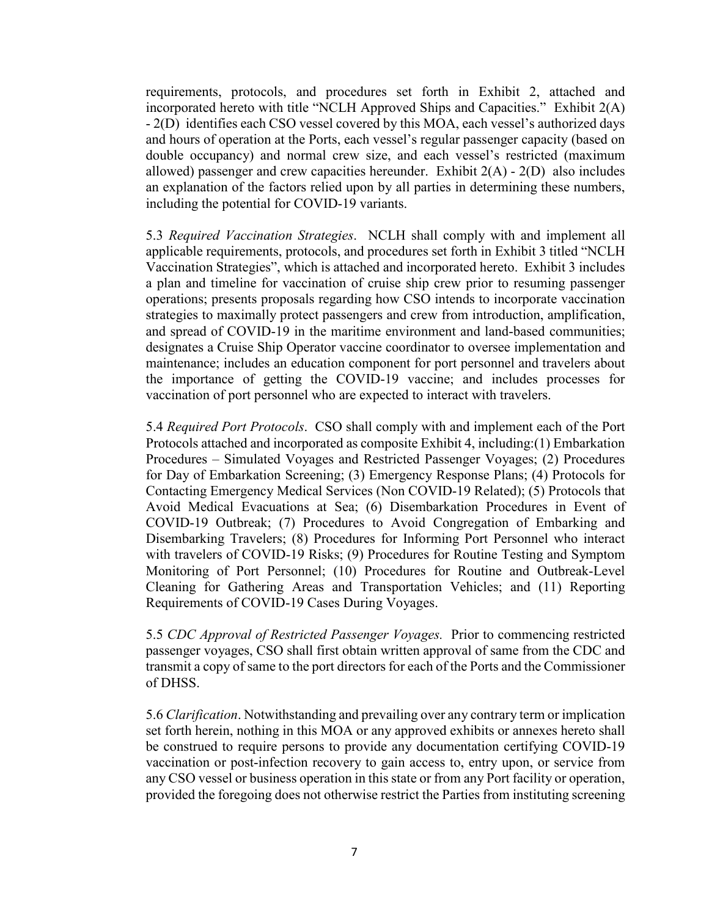requirements, protocols, and procedures set forth in Exhibit 2, attached and incorporated hereto with title "NCLH Approved Ships and Capacities." Exhibit 2(A) - 2(D) identifies each CSO vessel covered by this MOA, each vessel's authorized days and hours of operation at the Ports, each vessel's regular passenger capacity (based on double occupancy) and normal crew size, and each vessel's restricted (maximum allowed) passenger and crew capacities hereunder. Exhibit  $2(A) - 2(D)$  also includes an explanation of the factors relied upon by all parties in determining these numbers, including the potential for COVID-19 variants.

5.3 *Required Vaccination Strategies*. NCLH shall comply with and implement all applicable requirements, protocols, and procedures set forth in Exhibit 3 titled "NCLH Vaccination Strategies", which is attached and incorporated hereto. Exhibit 3 includes a plan and timeline for vaccination of cruise ship crew prior to resuming passenger operations; presents proposals regarding how CSO intends to incorporate vaccination strategies to maximally protect passengers and crew from introduction, amplification, and spread of COVID-19 in the maritime environment and land-based communities; designates a Cruise Ship Operator vaccine coordinator to oversee implementation and maintenance; includes an education component for port personnel and travelers about the importance of getting the COVID-19 vaccine; and includes processes for vaccination of port personnel who are expected to interact with travelers.

5.4 *Required Port Protocols*. CSO shall comply with and implement each of the Port Protocols attached and incorporated as composite Exhibit 4, including:(1) Embarkation Procedures – Simulated Voyages and Restricted Passenger Voyages; (2) Procedures for Day of Embarkation Screening; (3) Emergency Response Plans; (4) Protocols for Contacting Emergency Medical Services (Non COVID-19 Related); (5) Protocols that Avoid Medical Evacuations at Sea; (6) Disembarkation Procedures in Event of COVID-19 Outbreak; (7) Procedures to Avoid Congregation of Embarking and Disembarking Travelers; (8) Procedures for Informing Port Personnel who interact with travelers of COVID-19 Risks; (9) Procedures for Routine Testing and Symptom Monitoring of Port Personnel; (10) Procedures for Routine and Outbreak-Level Cleaning for Gathering Areas and Transportation Vehicles; and (11) Reporting Requirements of COVID-19 Cases During Voyages.

5.5 *CDC Approval of Restricted Passenger Voyages.* Prior to commencing restricted passenger voyages, CSO shall first obtain written approval of same from the CDC and transmit a copy of same to the port directors for each of the Ports and the Commissioner of DHSS.

5.6 *Clarification*. Notwithstanding and prevailing over any contrary term or implication set forth herein, nothing in this MOA or any approved exhibits or annexes hereto shall be construed to require persons to provide any documentation certifying COVID-19 vaccination or post-infection recovery to gain access to, entry upon, or service from any CSO vessel or business operation in this state or from any Port facility or operation, provided the foregoing does not otherwise restrict the Parties from instituting screening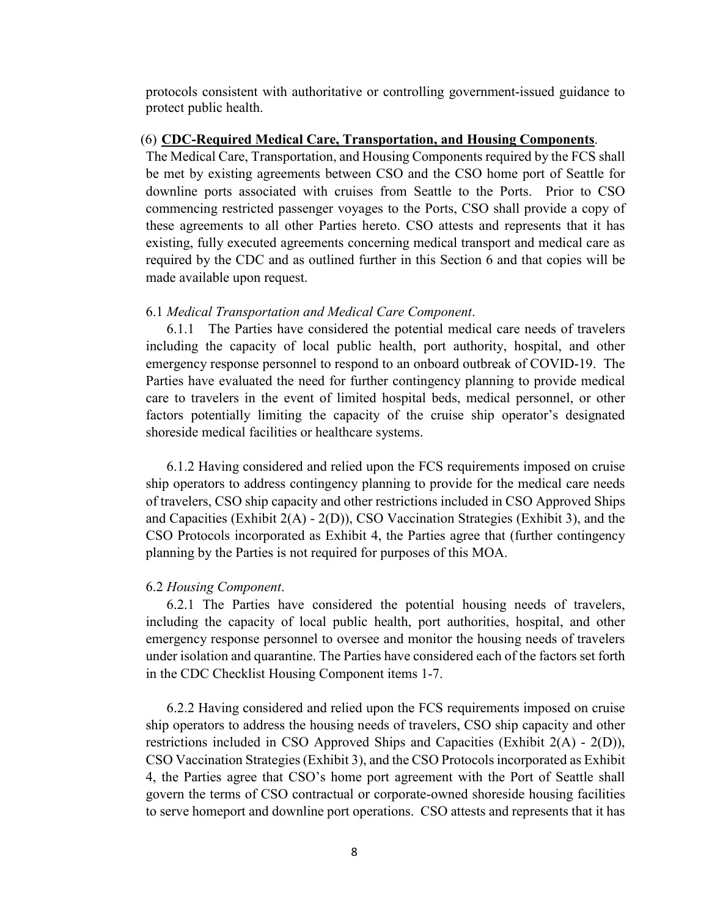protocols consistent with authoritative or controlling government-issued guidance to protect public health.

#### (6) **CDC-Required Medical Care, Transportation, and Housing Components**.

The Medical Care, Transportation, and Housing Components required by the FCS shall be met by existing agreements between CSO and the CSO home port of Seattle for downline ports associated with cruises from Seattle to the Ports. Prior to CSO commencing restricted passenger voyages to the Ports, CSO shall provide a copy of these agreements to all other Parties hereto. CSO attests and represents that it has existing, fully executed agreements concerning medical transport and medical care as required by the CDC and as outlined further in this Section 6 and that copies will be made available upon request.

#### 6.1 *Medical Transportation and Medical Care Component*.

6.1.1 The Parties have considered the potential medical care needs of travelers including the capacity of local public health, port authority, hospital, and other emergency response personnel to respond to an onboard outbreak of COVID-19. The Parties have evaluated the need for further contingency planning to provide medical care to travelers in the event of limited hospital beds, medical personnel, or other factors potentially limiting the capacity of the cruise ship operator's designated shoreside medical facilities or healthcare systems.

6.1.2 Having considered and relied upon the FCS requirements imposed on cruise ship operators to address contingency planning to provide for the medical care needs of travelers, CSO ship capacity and other restrictions included in CSO Approved Ships and Capacities (Exhibit 2(A) - 2(D)), CSO Vaccination Strategies (Exhibit 3), and the CSO Protocols incorporated as Exhibit 4, the Parties agree that (further contingency planning by the Parties is not required for purposes of this MOA.

#### 6.2 *Housing Component*.

6.2.1 The Parties have considered the potential housing needs of travelers, including the capacity of local public health, port authorities, hospital, and other emergency response personnel to oversee and monitor the housing needs of travelers under isolation and quarantine. The Parties have considered each of the factors set forth in the CDC Checklist Housing Component items 1-7.

6.2.2 Having considered and relied upon the FCS requirements imposed on cruise ship operators to address the housing needs of travelers, CSO ship capacity and other restrictions included in CSO Approved Ships and Capacities (Exhibit 2(A) - 2(D)), CSO Vaccination Strategies (Exhibit 3), and the CSO Protocols incorporated as Exhibit 4, the Parties agree that CSO's home port agreement with the Port of Seattle shall govern the terms of CSO contractual or corporate-owned shoreside housing facilities to serve homeport and downline port operations. CSO attests and represents that it has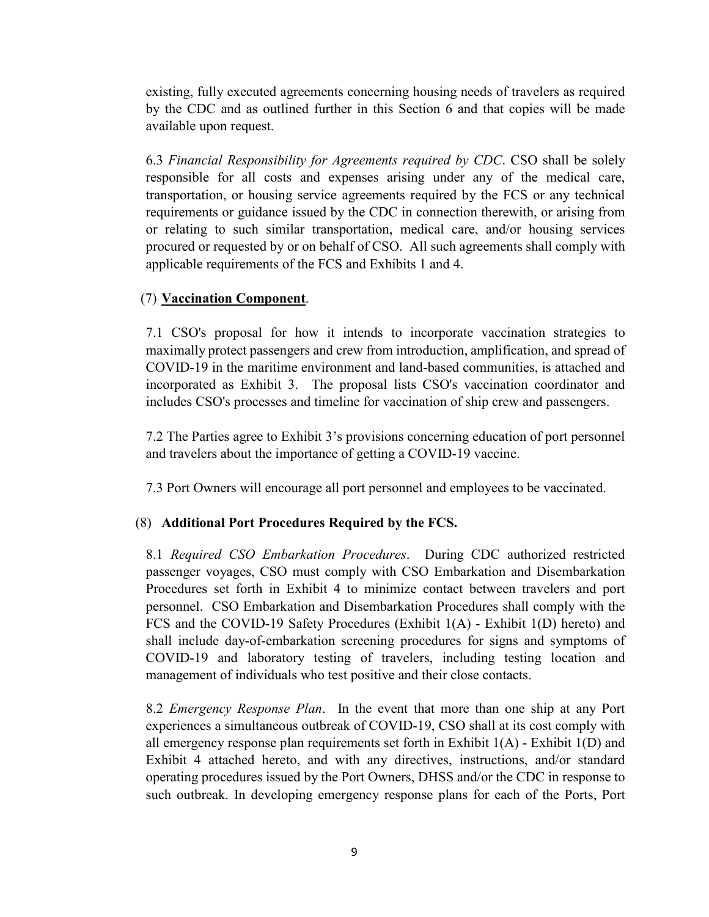existing, fully executed agreements concerning housing needs of travelers as required by the CDC and as outlined further in this Section 6 and that copies will be made available upon request.

6.3 *Financial Responsibility for Agreements required by CDC*. CSO shall be solely responsible for all costs and expenses arising under any of the medical care, transportation, or housing service agreements required by the FCS or any technical requirements or guidance issued by the CDC in connection therewith, or arising from or relating to such similar transportation, medical care, and/or housing services procured or requested by or on behalf of CSO. All such agreements shall comply with applicable requirements of the FCS and Exhibits 1 and 4.

# (7) **Vaccination Component**.

7.1 CSO's proposal for how it intends to incorporate vaccination strategies to maximally protect passengers and crew from introduction, amplification, and spread of COVID-19 in the maritime environment and land-based communities, is attached and incorporated as Exhibit 3. The proposal lists CSO's vaccination coordinator and includes CSO's processes and timeline for vaccination of ship crew and passengers.

7.2 The Parties agree to Exhibit 3's provisions concerning education of port personnel and travelers about the importance of getting a COVID-19 vaccine.

7.3 Port Owners will encourage all port personnel and employees to be vaccinated.

# (8) **Additional Port Procedures Required by the FCS.**

8.1 *Required CSO Embarkation Procedures*. During CDC authorized restricted passenger voyages, CSO must comply with CSO Embarkation and Disembarkation Procedures set forth in Exhibit 4 to minimize contact between travelers and port personnel. CSO Embarkation and Disembarkation Procedures shall comply with the FCS and the COVID-19 Safety Procedures (Exhibit 1(A) - Exhibit 1(D) hereto) and shall include day-of-embarkation screening procedures for signs and symptoms of COVID-19 and laboratory testing of travelers, including testing location and management of individuals who test positive and their close contacts.

8.2 *Emergency Response Plan*. In the event that more than one ship at any Port experiences a simultaneous outbreak of COVID-19, CSO shall at its cost comply with all emergency response plan requirements set forth in Exhibit  $1(A)$  - Exhibit  $1(D)$  and Exhibit 4 attached hereto, and with any directives, instructions, and/or standard operating procedures issued by the Port Owners, DHSS and/or the CDC in response to such outbreak. In developing emergency response plans for each of the Ports, Port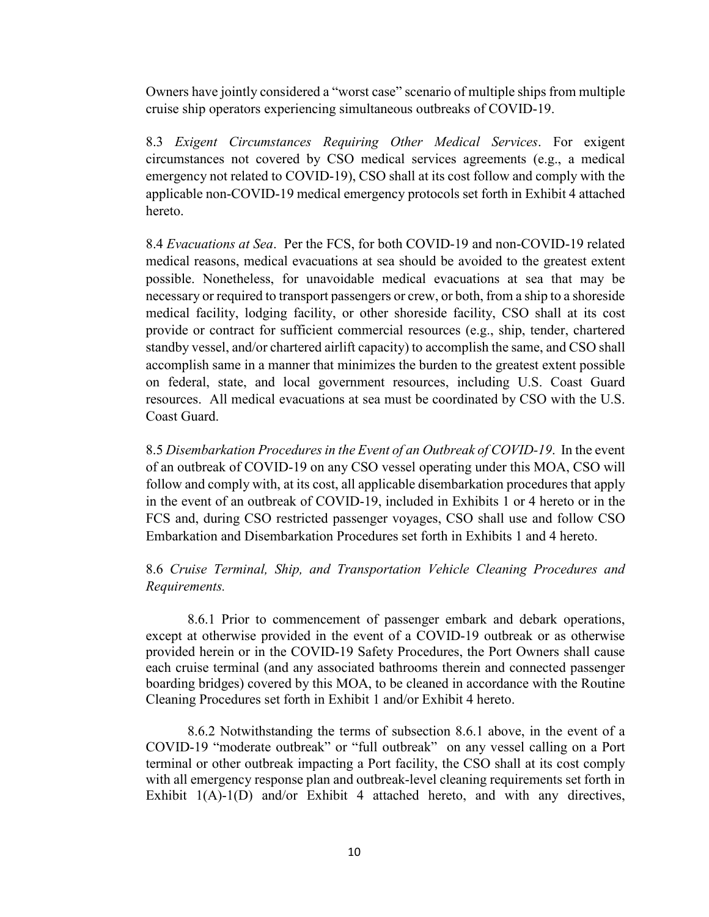Owners have jointly considered a "worst case" scenario of multiple ships from multiple cruise ship operators experiencing simultaneous outbreaks of COVID-19.

8.3 *Exigent Circumstances Requiring Other Medical Services*. For exigent circumstances not covered by CSO medical services agreements (e.g., a medical emergency not related to COVID-19), CSO shall at its cost follow and comply with the applicable non-COVID-19 medical emergency protocols set forth in Exhibit 4 attached hereto.

8.4 *Evacuations at Sea*. Per the FCS, for both COVID-19 and non-COVID-19 related medical reasons, medical evacuations at sea should be avoided to the greatest extent possible. Nonetheless, for unavoidable medical evacuations at sea that may be necessary or required to transport passengers or crew, or both, from a ship to a shoreside medical facility, lodging facility, or other shoreside facility, CSO shall at its cost provide or contract for sufficient commercial resources (e.g., ship, tender, chartered standby vessel, and/or chartered airlift capacity) to accomplish the same, and CSO shall accomplish same in a manner that minimizes the burden to the greatest extent possible on federal, state, and local government resources, including U.S. Coast Guard resources. All medical evacuations at sea must be coordinated by CSO with the U.S. Coast Guard.

8.5 *Disembarkation Procedures in the Event of an Outbreak of COVID-19*. In the event of an outbreak of COVID-19 on any CSO vessel operating under this MOA, CSO will follow and comply with, at its cost, all applicable disembarkation procedures that apply in the event of an outbreak of COVID-19, included in Exhibits 1 or 4 hereto or in the FCS and, during CSO restricted passenger voyages, CSO shall use and follow CSO Embarkation and Disembarkation Procedures set forth in Exhibits 1 and 4 hereto.

## 8.6 *Cruise Terminal, Ship, and Transportation Vehicle Cleaning Procedures and Requirements.*

 8.6.1 Prior to commencement of passenger embark and debark operations, except at otherwise provided in the event of a COVID-19 outbreak or as otherwise provided herein or in the COVID-19 Safety Procedures, the Port Owners shall cause each cruise terminal (and any associated bathrooms therein and connected passenger boarding bridges) covered by this MOA, to be cleaned in accordance with the Routine Cleaning Procedures set forth in Exhibit 1 and/or Exhibit 4 hereto.

 8.6.2 Notwithstanding the terms of subsection 8.6.1 above, in the event of a COVID-19 "moderate outbreak" or "full outbreak" on any vessel calling on a Port terminal or other outbreak impacting a Port facility, the CSO shall at its cost comply with all emergency response plan and outbreak-level cleaning requirements set forth in Exhibit 1(A)-1(D) and/or Exhibit 4 attached hereto, and with any directives,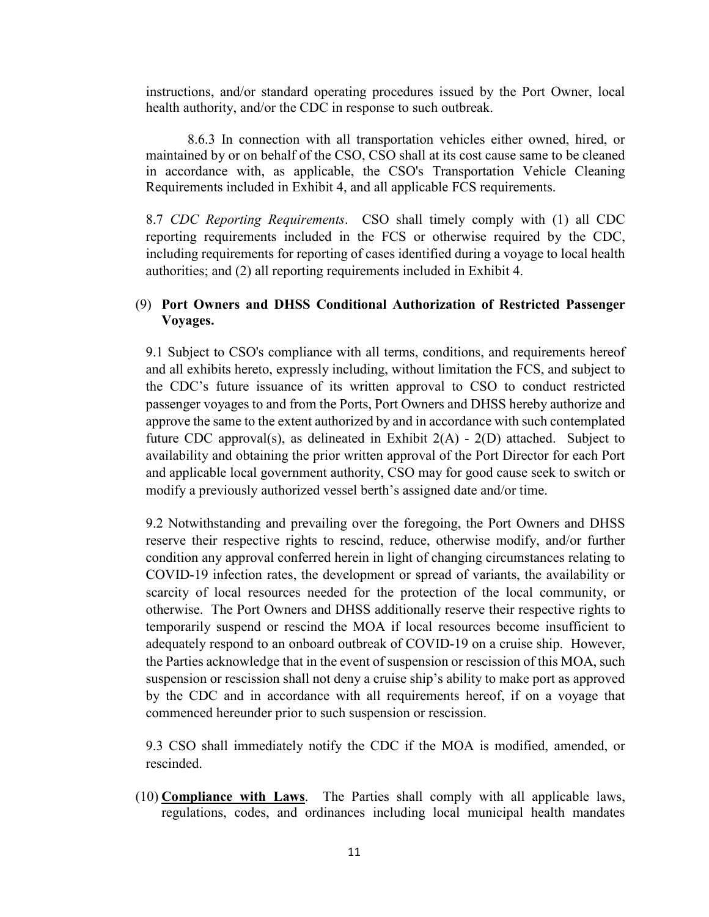instructions, and/or standard operating procedures issued by the Port Owner, local health authority, and/or the CDC in response to such outbreak.

 8.6.3 In connection with all transportation vehicles either owned, hired, or maintained by or on behalf of the CSO, CSO shall at its cost cause same to be cleaned in accordance with, as applicable, the CSO's Transportation Vehicle Cleaning Requirements included in Exhibit 4, and all applicable FCS requirements.

8.7 *CDC Reporting Requirements*. CSO shall timely comply with (1) all CDC reporting requirements included in the FCS or otherwise required by the CDC, including requirements for reporting of cases identified during a voyage to local health authorities; and (2) all reporting requirements included in Exhibit 4.

## (9) **Port Owners and DHSS Conditional Authorization of Restricted Passenger Voyages.**

9.1 Subject to CSO's compliance with all terms, conditions, and requirements hereof and all exhibits hereto, expressly including, without limitation the FCS, and subject to the CDC's future issuance of its written approval to CSO to conduct restricted passenger voyages to and from the Ports, Port Owners and DHSS hereby authorize and approve the same to the extent authorized by and in accordance with such contemplated future CDC approval(s), as delineated in Exhibit  $2(A) - 2(D)$  attached. Subject to availability and obtaining the prior written approval of the Port Director for each Port and applicable local government authority, CSO may for good cause seek to switch or modify a previously authorized vessel berth's assigned date and/or time.

9.2 Notwithstanding and prevailing over the foregoing, the Port Owners and DHSS reserve their respective rights to rescind, reduce, otherwise modify, and/or further condition any approval conferred herein in light of changing circumstances relating to COVID-19 infection rates, the development or spread of variants, the availability or scarcity of local resources needed for the protection of the local community, or otherwise. The Port Owners and DHSS additionally reserve their respective rights to temporarily suspend or rescind the MOA if local resources become insufficient to adequately respond to an onboard outbreak of COVID-19 on a cruise ship. However, the Parties acknowledge that in the event of suspension or rescission of this MOA, such suspension or rescission shall not deny a cruise ship's ability to make port as approved by the CDC and in accordance with all requirements hereof, if on a voyage that commenced hereunder prior to such suspension or rescission.

9.3 CSO shall immediately notify the CDC if the MOA is modified, amended, or rescinded.

(10) **Compliance with Laws**.The Parties shall comply with all applicable laws, regulations, codes, and ordinances including local municipal health mandates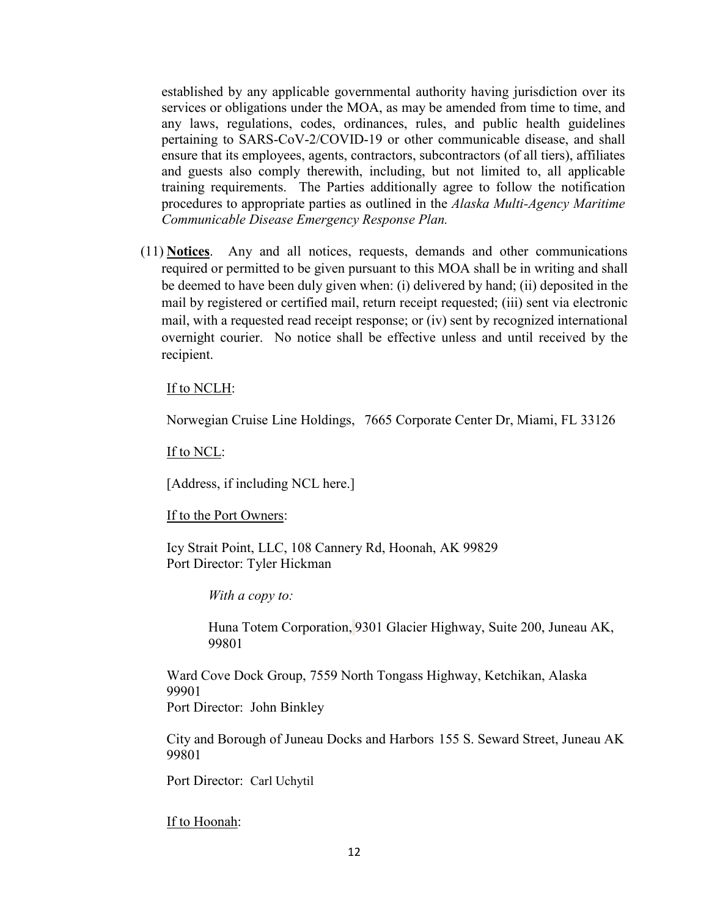established by any applicable governmental authority having jurisdiction over its services or obligations under the MOA, as may be amended from time to time, and any laws, regulations, codes, ordinances, rules, and public health guidelines pertaining to SARS-CoV-2/COVID-19 or other communicable disease, and shall ensure that its employees, agents, contractors, subcontractors (of all tiers), affiliates and guests also comply therewith, including, but not limited to, all applicable training requirements. The Parties additionally agree to follow the notification procedures to appropriate parties as outlined in the *Alaska Multi-Agency Maritime Communicable Disease Emergency Response Plan.*

(11) **Notices**. Any and all notices, requests, demands and other communications required or permitted to be given pursuant to this MOA shall be in writing and shall be deemed to have been duly given when: (i) delivered by hand; (ii) deposited in the mail by registered or certified mail, return receipt requested; (iii) sent via electronic mail, with a requested read receipt response; or (iv) sent by recognized international overnight courier. No notice shall be effective unless and until received by the recipient.

### If to NCLH:

Norwegian Cruise Line Holdings, 7665 Corporate Center Dr, Miami, FL 33126

If to NCL:

[Address, if including NCL here.]

### If to the Port Owners:

Icy Strait Point, LLC, [108 Cannery Rd, Hoonah, AK 99829](https://www.bing.com/maps?&ty=18&q=Icy%20Strait%20Point&satid=id.sid%3A2bf3a061-25b9-415d-a12d-99eeee83adcd&ppois=58.12920379638672_-135.4631805419922_Icy%20Strait%20Point_%7E&cp=58.129204%7E-135.463181&v=2&sV=1) Port Director: Tyler Hickman

*With a copy to:*

Huna Totem Corporation, 9301 Glacier Highway, Suite 200, Juneau AK, 99801

Ward Cove Dock Group, 7559 North Tongass Highway, Ketchikan, Alaska 99901 Port Director: John Binkley

City and Borough of Juneau Docks and Harbors 155 S. Seward Street, Juneau AK 99801

Port Director: Carl Uchytil

If to Hoonah: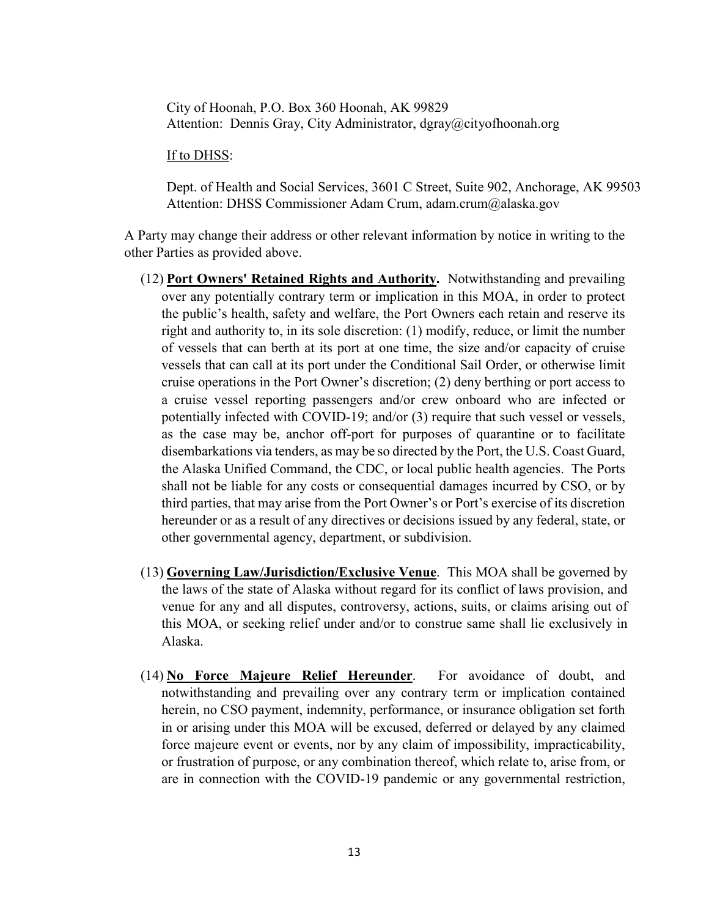City of Hoonah, P.O. Box 360 Hoonah, AK 99829 Attention: Dennis Gray, City Administrator, dgray@cityofhoonah.org

#### If to DHSS:

Dept. of Health and Social Services, 3601 C Street, Suite 902, Anchorage, AK 99503 Attention: DHSS Commissioner Adam Crum, adam.crum@alaska.gov

A Party may change their address or other relevant information by notice in writing to the other Parties as provided above.

- (12) **Port Owners' Retained Rights and Authority.** Notwithstanding and prevailing over any potentially contrary term or implication in this MOA, in order to protect the public's health, safety and welfare, the Port Owners each retain and reserve its right and authority to, in its sole discretion: (1) modify, reduce, or limit the number of vessels that can berth at its port at one time, the size and/or capacity of cruise vessels that can call at its port under the Conditional Sail Order, or otherwise limit cruise operations in the Port Owner's discretion; (2) deny berthing or port access to a cruise vessel reporting passengers and/or crew onboard who are infected or potentially infected with COVID-19; and/or (3) require that such vessel or vessels, as the case may be, anchor off-port for purposes of quarantine or to facilitate disembarkations via tenders, as may be so directed by the Port, the U.S. Coast Guard, the Alaska Unified Command, the CDC, or local public health agencies. The Ports shall not be liable for any costs or consequential damages incurred by CSO, or by third parties, that may arise from the Port Owner's or Port's exercise of its discretion hereunder or as a result of any directives or decisions issued by any federal, state, or other governmental agency, department, or subdivision.
- (13) **Governing Law/Jurisdiction/Exclusive Venue**. This MOA shall be governed by the laws of the state of Alaska without regard for its conflict of laws provision, and venue for any and all disputes, controversy, actions, suits, or claims arising out of this MOA, or seeking relief under and/or to construe same shall lie exclusively in Alaska.
- (14) **No Force Majeure Relief Hereunder**. For avoidance of doubt, and notwithstanding and prevailing over any contrary term or implication contained herein, no CSO payment, indemnity, performance, or insurance obligation set forth in or arising under this MOA will be excused, deferred or delayed by any claimed force majeure event or events, nor by any claim of impossibility, impracticability, or frustration of purpose, or any combination thereof, which relate to, arise from, or are in connection with the COVID-19 pandemic or any governmental restriction,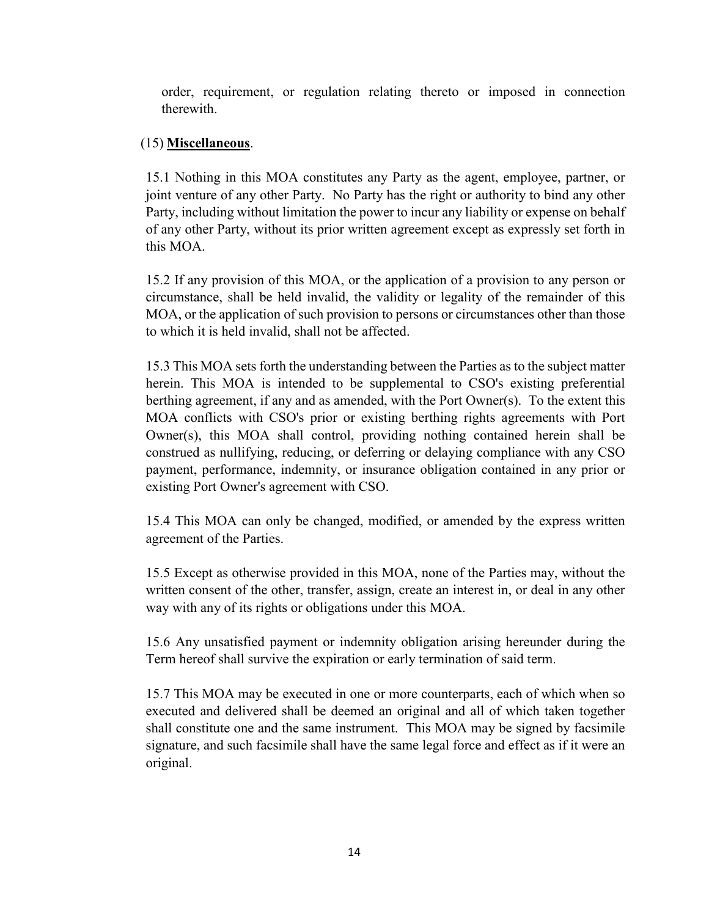order, requirement, or regulation relating thereto or imposed in connection therewith.

# (15) **Miscellaneous**.

15.1 Nothing in this MOA constitutes any Party as the agent, employee, partner, or joint venture of any other Party. No Party has the right or authority to bind any other Party, including without limitation the power to incur any liability or expense on behalf of any other Party, without its prior written agreement except as expressly set forth in this MOA.

15.2 If any provision of this MOA, or the application of a provision to any person or circumstance, shall be held invalid, the validity or legality of the remainder of this MOA, or the application of such provision to persons or circumstances other than those to which it is held invalid, shall not be affected.

15.3 This MOA sets forth the understanding between the Parties as to the subject matter herein. This MOA is intended to be supplemental to CSO's existing preferential berthing agreement, if any and as amended, with the Port Owner(s). To the extent this MOA conflicts with CSO's prior or existing berthing rights agreements with Port Owner(s), this MOA shall control, providing nothing contained herein shall be construed as nullifying, reducing, or deferring or delaying compliance with any CSO payment, performance, indemnity, or insurance obligation contained in any prior or existing Port Owner's agreement with CSO.

15.4 This MOA can only be changed, modified, or amended by the express written agreement of the Parties.

15.5 Except as otherwise provided in this MOA, none of the Parties may, without the written consent of the other, transfer, assign, create an interest in, or deal in any other way with any of its rights or obligations under this MOA.

15.6 Any unsatisfied payment or indemnity obligation arising hereunder during the Term hereof shall survive the expiration or early termination of said term.

15.7 This MOA may be executed in one or more counterparts, each of which when so executed and delivered shall be deemed an original and all of which taken together shall constitute one and the same instrument. This MOA may be signed by facsimile signature, and such facsimile shall have the same legal force and effect as if it were an original.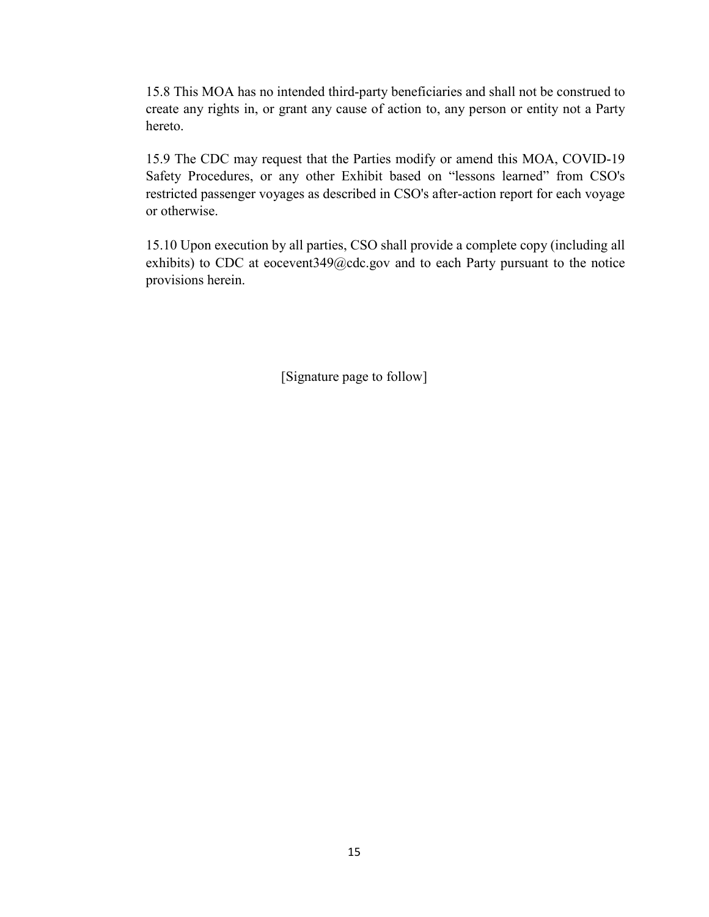15.8 This MOA has no intended third-party beneficiaries and shall not be construed to create any rights in, or grant any cause of action to, any person or entity not a Party hereto.

15.9 The CDC may request that the Parties modify or amend this MOA, COVID-19 Safety Procedures, or any other Exhibit based on "lessons learned" from CSO's restricted passenger voyages as described in CSO's after-action report for each voyage or otherwise.

15.10 Upon execution by all parties, CSO shall provide a complete copy (including all exhibits) to CDC at eocevent349@cdc.gov and to each Party pursuant to the notice provisions herein.

[Signature page to follow]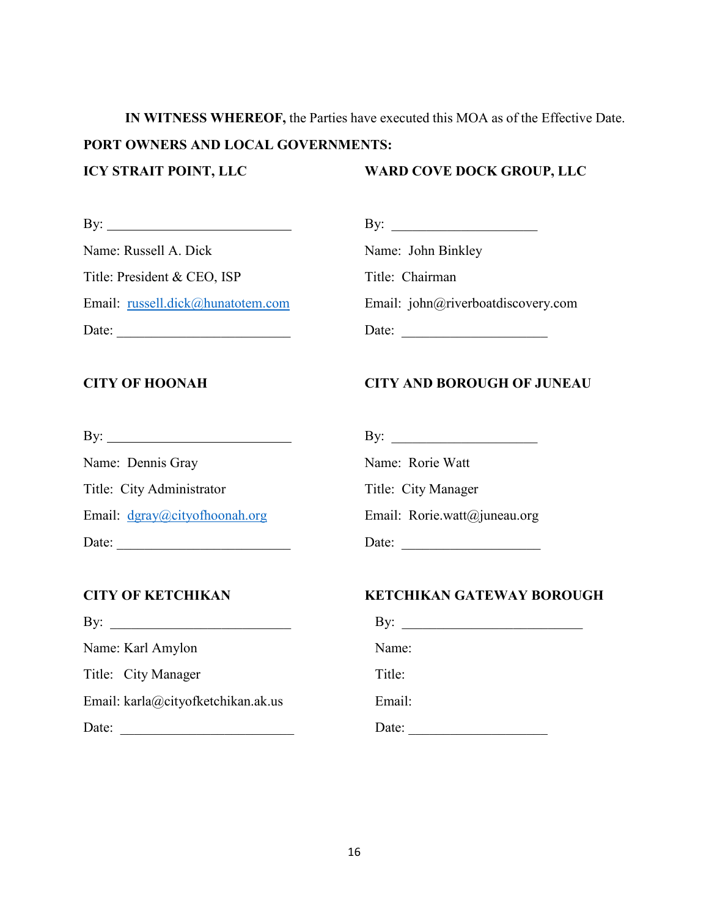**IN WITNESS WHEREOF,** the Parties have executed this MOA as of the Effective Date. **PORT OWNERS AND LOCAL GOVERNMENTS: ICY STRAIT POINT, LLC WARD COVE DOCK GROUP, LLC**

| By:<br><u> 1980 - Jan Samuel Barbara, martin da shekara 1980 - An tsa a tsa a tsa a tsa a tsa a tsa a tsa a tsa a tsa a</u> | By:                                |
|-----------------------------------------------------------------------------------------------------------------------------|------------------------------------|
| Name: Russell A. Dick                                                                                                       | Name: John Binkley                 |
| Title: President & CEO, ISP                                                                                                 | Title: Chairman                    |
| Email: russell.dick@hunatotem.com                                                                                           | Email: john@riverboatdiscovery.com |
| Date:                                                                                                                       | Date:                              |

| By:                               |
|-----------------------------------|
| Name: John Binkley                |
| Title: Chairman                   |
| Email: john@riverboatdiscovery.co |
| Date:                             |

# **CITY OF HOONAH CITY AND BOROUGH OF JUNEAU**

| $\mathbf{B}$ y:               | $\mathbf{B} \mathbf{v}$      |
|-------------------------------|------------------------------|
| Name: Dennis Gray             | Name: Rorie Watt             |
| Title: City Administrator     | Title: City Manager          |
| Email: dgray@cityofhoonah.org | Email: Rorie.watt@juneau.org |
| Date:                         | Date:                        |

| By:                                | BV:    |
|------------------------------------|--------|
| Name: Karl Amylon                  | Name:  |
| Title: City Manager                | Title: |
| Email: karla@cityofketchikan.ak.us | Email: |
| Date:                              | Date:  |

# **CITY OF KETCHIKAN KETCHIKAN GATEWAY BOROUGH**

| By:                                | By:    |
|------------------------------------|--------|
| Name: Karl Amylon                  | Name:  |
| Title: City Manager                | Title: |
| Email: karla@cityofketchikan.ak.us | Email: |
| Date:                              | Date:  |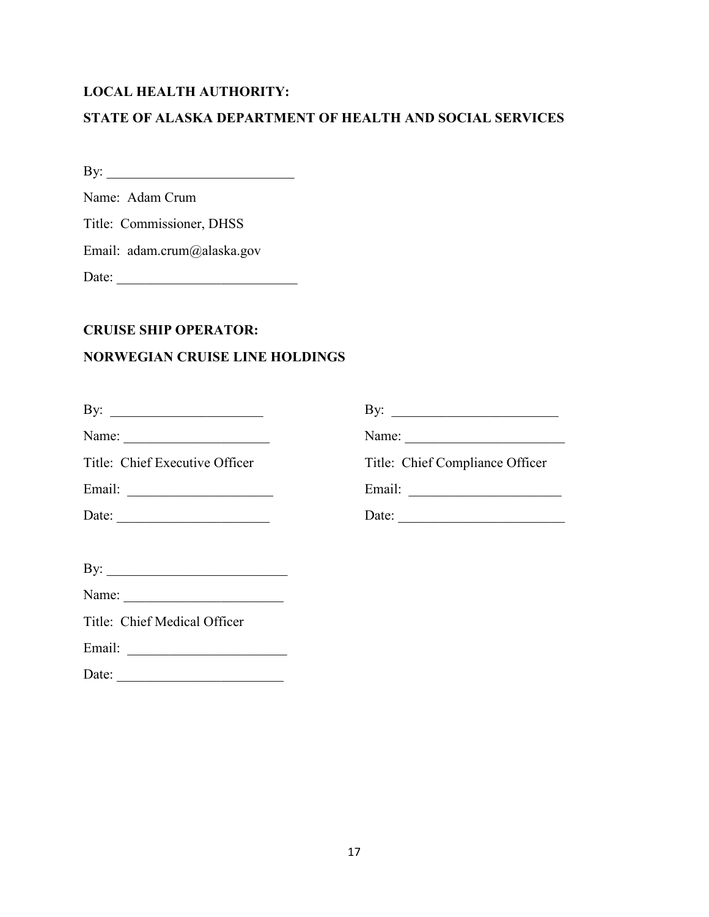# **LOCAL HEALTH AUTHORITY:**

# **STATE OF ALASKA DEPARTMENT OF HEALTH AND SOCIAL SERVICES**

By: \_\_\_\_\_\_\_\_\_\_\_\_\_\_\_\_\_\_\_\_\_\_\_\_\_\_\_

Name: Adam Crum

Title: Commissioner, DHSS

Email: adam.crum@alaska.gov

Date: \_\_\_\_\_\_\_\_\_\_\_\_\_\_\_\_\_\_\_\_\_\_\_\_\_\_

# **CRUISE SHIP OPERATOR:**

# **NORWEGIAN CRUISE LINE HOLDINGS**

|                                                                             | By: $\qquad \qquad$                                                                                                                                                                                                                                                                                                                                                                                                                               |
|-----------------------------------------------------------------------------|---------------------------------------------------------------------------------------------------------------------------------------------------------------------------------------------------------------------------------------------------------------------------------------------------------------------------------------------------------------------------------------------------------------------------------------------------|
|                                                                             | Name: $\frac{1}{\sqrt{1-\frac{1}{2}} \cdot \frac{1}{2} \cdot \frac{1}{2} \cdot \frac{1}{2} \cdot \frac{1}{2} \cdot \frac{1}{2} \cdot \frac{1}{2} \cdot \frac{1}{2} \cdot \frac{1}{2} \cdot \frac{1}{2} \cdot \frac{1}{2} \cdot \frac{1}{2} \cdot \frac{1}{2} \cdot \frac{1}{2} \cdot \frac{1}{2} \cdot \frac{1}{2} \cdot \frac{1}{2} \cdot \frac{1}{2} \cdot \frac{1}{2} \cdot \frac{1}{2} \cdot \frac{1}{2} \cdot \frac{1}{2} \cdot \frac{1}{2}$ |
| Title: Chief Executive Officer                                              | Title: Chief Compliance Officer                                                                                                                                                                                                                                                                                                                                                                                                                   |
|                                                                             |                                                                                                                                                                                                                                                                                                                                                                                                                                                   |
| Date: $\qquad \qquad$                                                       | Date:                                                                                                                                                                                                                                                                                                                                                                                                                                             |
|                                                                             |                                                                                                                                                                                                                                                                                                                                                                                                                                                   |
| By: $\qquad \qquad$                                                         |                                                                                                                                                                                                                                                                                                                                                                                                                                                   |
| Name:                                                                       |                                                                                                                                                                                                                                                                                                                                                                                                                                                   |
| Title: Chief Medical Officer                                                |                                                                                                                                                                                                                                                                                                                                                                                                                                                   |
|                                                                             |                                                                                                                                                                                                                                                                                                                                                                                                                                                   |
| Date:<br><u> 1980 - Johann Barbara, martxa amerikan personal (h. 1980).</u> |                                                                                                                                                                                                                                                                                                                                                                                                                                                   |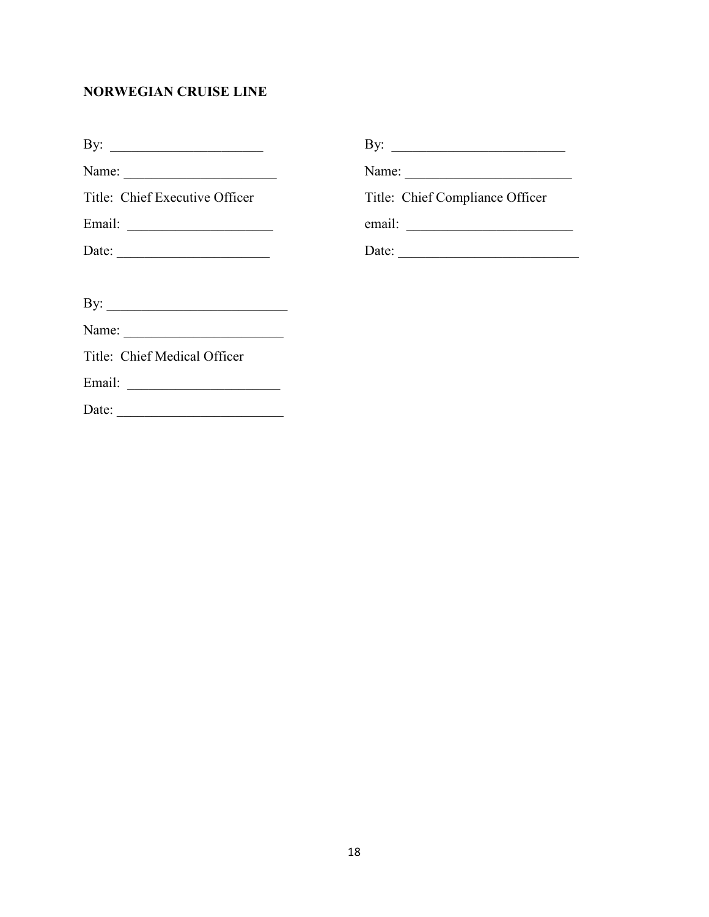# **NORWEGIAN CRUISE LINE**

| By: $\qquad \qquad$            |                                                          |
|--------------------------------|----------------------------------------------------------|
|                                | Name: $\frac{1}{\sqrt{1-\frac{1}{2}} \cdot \frac{1}{2}}$ |
| Title: Chief Executive Officer | Title: Chief Compliance Officer                          |
| Email:                         |                                                          |
|                                | Date:                                                    |
|                                |                                                          |
|                                |                                                          |
|                                |                                                          |
| Title: Chief Medical Officer   |                                                          |
|                                |                                                          |
| Date:                          |                                                          |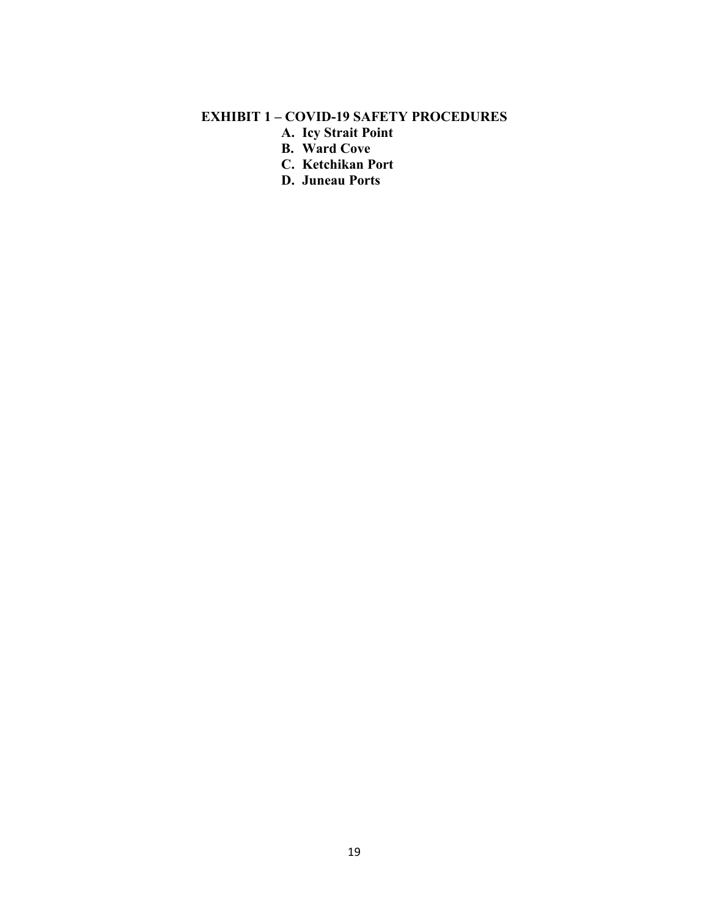# **EXHIBIT 1 – COVID-19 SAFETY PROCEDURES**

- **A. Icy Strait Point**
- **B. Ward Cove**
- **C. Ketchikan Port**
- **D. Juneau Ports**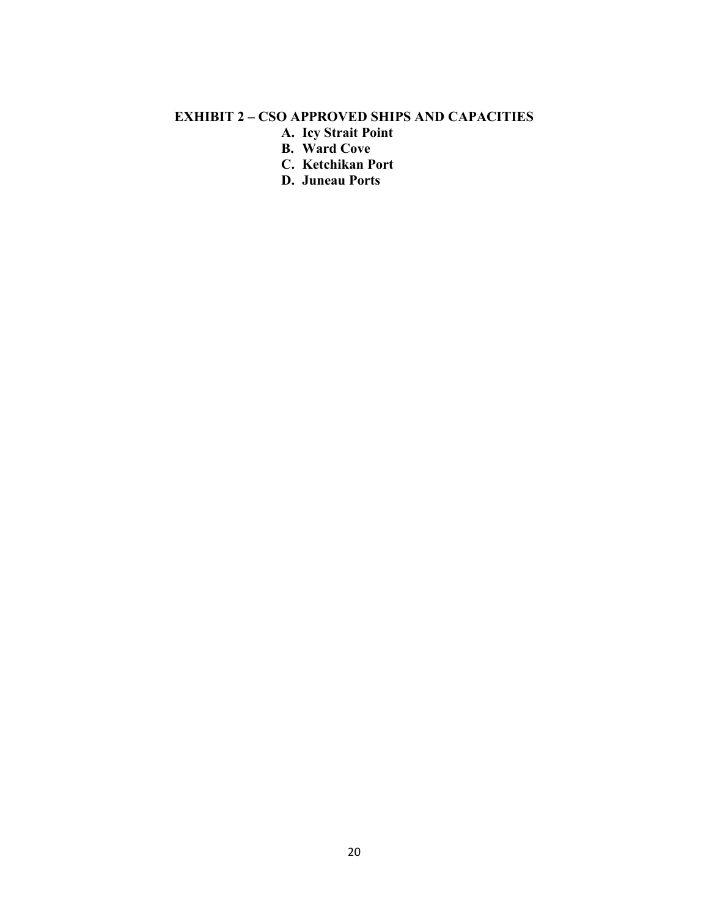# **EXHIBIT 2 – CSO APPROVED SHIPS AND CAPACITIES**

- **A. Icy Strait Point**
- **B. Ward Cove**
- **C. Ketchikan Port**
- **D. Juneau Ports**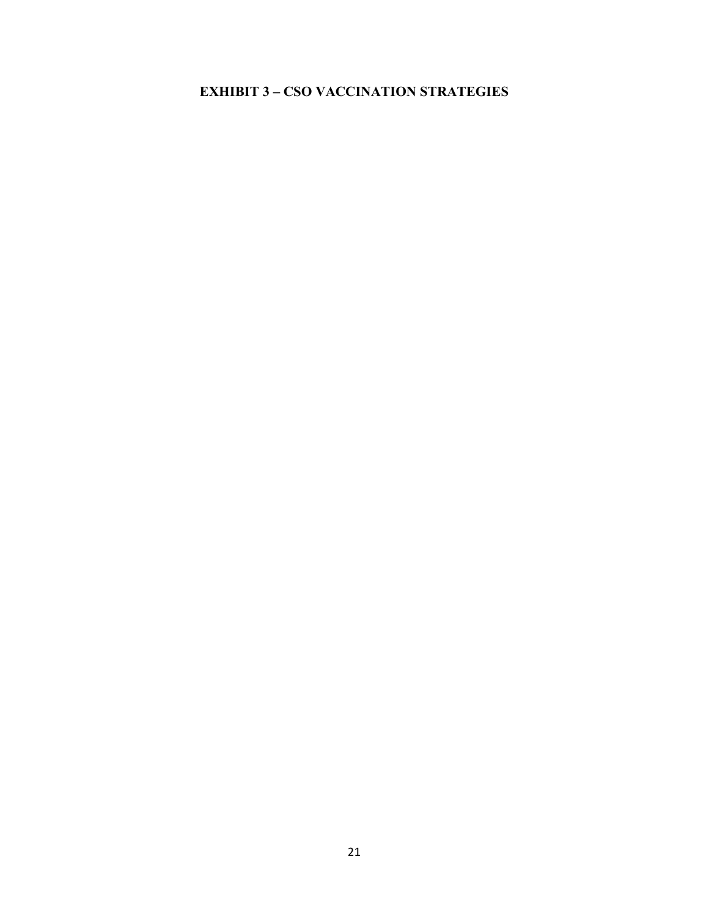# **EXHIBIT 3 – CSO VACCINATION STRATEGIES**